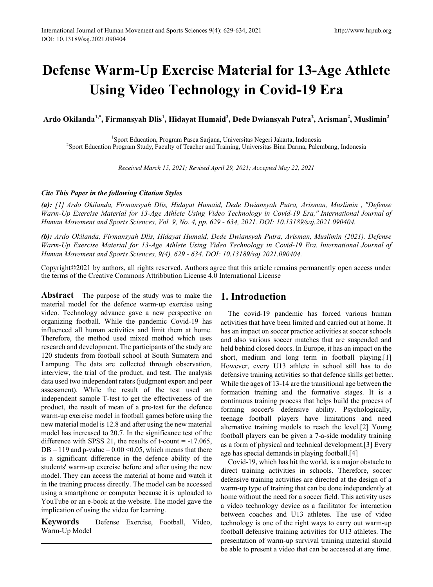# **Defense Warm-Up Exercise Material for 13-Age Athlete Using Video Technology in Covid-19 Era**

**Ardo Okilanda1,\*, Firmansyah Dlis1 , Hidayat Humaid<sup>2</sup> , Dede Dwiansyah Putra<sup>2</sup> , Arisman<sup>2</sup> , Muslimin<sup>2</sup>**

<sup>1</sup>Sport Education, Program Pasca Sarjana, Universitas Negeri Jakarta, Indonesia Sport Education, Program Pasca Sarjana, Universitas Negeri Jakarta, Indonesia <sup>2</sup> Sport Education Program Study, Faculty of Teacher and Training, Universitas Bina Darma, Palembang, Indonesia

*Received March 15, 2021; Revised April 29, 2021; Accepted May 22, 2021*

### *Cite This Paper in the following Citation Styles*

*(a): [1] Ardo Okilanda, Firmansyah Dlis, Hidayat Humaid, Dede Dwiansyah Putra, Arisman, Muslimin , "Defense Warm-Up Exercise Material for 13-Age Athlete Using Video Technology in Covid-19 Era," International Journal of Human Movement and Sports Sciences, Vol. 9, No. 4, pp. 629 - 634, 2021. DOI: 10.13189/saj.2021.090404.* 

*(b): Ardo Okilanda, Firmansyah Dlis, Hidayat Humaid, Dede Dwiansyah Putra, Arisman, Muslimin (2021). Defense Warm-Up Exercise Material for 13-Age Athlete Using Video Technology in Covid-19 Era. International Journal of Human Movement and Sports Sciences, 9(4), 629 - 634. DOI: 10.13189/saj.2021.090404.* 

Copyright©2021 by authors, all rights reserved. Authors agree that this article remains permanently open access under the terms of the Creative Commons Attribbution License 4.0 International License

**Abstract** The purpose of the study was to make the material model for the defence warm-up exercise using video. Technology advance gave a new perspective on organizing football. While the pandemic Covid-19 has influenced all human activities and limit them at home. Therefore, the method used mixed method which uses research and development. The participants of the study are 120 students from football school at South Sumatera and Lampung. The data are collected through observation, interview, the trial of the product, and test. The analysis data used two independent raters (judgment expert and peer assessment). While the result of the test used an independent sample T-test to get the effectiveness of the product, the result of mean of a pre-test for the defence warm-up exercise model in football games before using the new material model is 12.8 and after using the new material model has increased to 20.7. In the significance test of the difference with SPSS 21, the results of t-count  $= -17.065$ ,  $DB = 119$  and p-value = 0.00 < 0.05, which means that there is a significant difference in the defence ability of the students' warm-up exercise before and after using the new model. They can access the material at home and watch it in the training process directly. The model can be accessed using a smartphone or computer because it is uploaded to YouTube or an e-book at the website. The model gave the implication of using the video for learning.

**Keywords** Defense Exercise, Football, Video, Warm-Up Model

# **1. Introduction**

The covid-19 pandemic has forced various human activities that have been limited and carried out at home. It has an impact on soccer practice activities at soccer schools and also various soccer matches that are suspended and held behind closed doors. In Europe, it has an impact on the short, medium and long term in football playing.<sup>[1]</sup> However, every U13 athlete in school still has to do defensive training activities so that defence skills get better. While the ages of 13-14 are the transitional age between the formation training and the formative stages. It is a continuous training process that helps build the process of forming soccer's defensive ability. Psychologically, teenage football players have limitations and need alternative training models to reach the level.[2] Young football players can be given a 7-a-side modality training as a form of physical and technical development.[3] Every age has special demands in playing football.[4]

Covid-19, which has hit the world, is a major obstacle to direct training activities in schools. Therefore, soccer defensive training activities are directed at the design of a warm-up type of training that can be done independently at home without the need for a soccer field. This activity uses a video technology device as a facilitator for interaction between coaches and U13 athletes. The use of video technology is one of the right ways to carry out warm-up football defensive training activities for U13 athletes. The presentation of warm-up survival training material should be able to present a video that can be accessed at any time.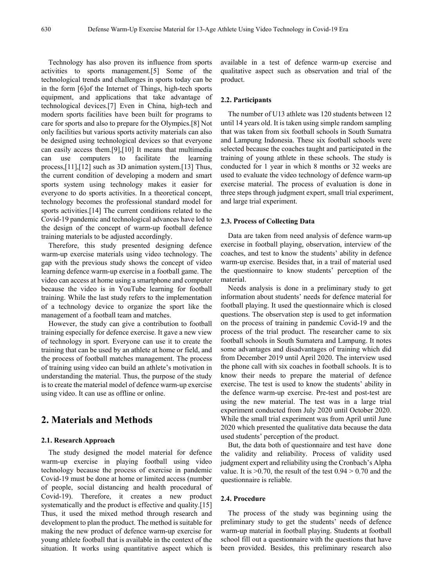Technology has also proven its influence from sports activities to sports management.[5] Some of the technological trends and challenges in sports today can be in the form [6]of the Internet of Things, high-tech sports equipment, and applications that take advantage of technological devices.[7] Even in China, high-tech and modern sports facilities have been built for programs to care for sports and also to prepare for the Olympics.[8] Not only facilities but various sports activity materials can also be designed using technological devices so that everyone can easily access them.[9],[10] It means that multimedia can use computers to facilitate the learning process,[11],[12] such as 3D animation system.[13] Thus, the current condition of developing a modern and smart sports system using technology makes it easier for everyone to do sports activities. In a theoretical concept, technology becomes the professional standard model for sports activities.<sup>[14]</sup> The current conditions related to the Covid-19 pandemic and technological advances have led to the design of the concept of warm-up football defence training materials to be adjusted accordingly.

Therefore, this study presented designing defence warm-up exercise materials using video technology. The gap with the previous study shows the concept of video learning defence warm-up exercise in a football game. The video can access at home using a smartphone and computer because the video is in YouTube learning for football training. While the last study refers to the implementation of a technology device to organize the sport like the management of a football team and matches.

However, the study can give a contribution to football training especially for defence exercise. It gave a new view of technology in sport. Everyone can use it to create the training that can be used by an athlete at home or field, and the process of football matches management. The process of training using video can build an athlete's motivation in understanding the material. Thus, the purpose of the study is to create the material model of defence warm-up exercise using video. It can use as offline or online.

## **2. Materials and Methods**

#### **2.1. Research Approach**

The study designed the model material for defence warm-up exercise in playing football using video technology because the process of exercise in pandemic Covid-19 must be done at home or limited access (number of people, social distancing and health procedural of Covid-19). Therefore, it creates a new product systematically and the product is effective and quality.[15] Thus, it used the mixed method through research and development to plan the product. The method is suitable for making the new product of defence warm-up exercise for young athlete football that is available in the context of the situation. It works using quantitative aspect which is

available in a test of defence warm-up exercise and qualitative aspect such as observation and trial of the product.

#### **2.2. Participants**

The number of U13 athlete was 120 students between 12 until 14 years old. It is taken using simple random sampling that was taken from six football schools in South Sumatra and Lampung Indonesia. These six football schools were selected because the coaches taught and participated in the training of young athlete in these schools. The study is conducted for 1 year in which 8 months or 32 weeks are used to evaluate the video technology of defence warm-up exercise material. The process of evaluation is done in three steps through judgment expert, small trial experiment, and large trial experiment.

#### **2.3. Process of Collecting Data**

Data are taken from need analysis of defence warm-up exercise in football playing, observation, interview of the coaches, and test to know the students' ability in defence warm-up exercise. Besides that, in a trail of material used the questionnaire to know students' perception of the material.

Needs analysis is done in a preliminary study to get information about students' needs for defence material for football playing. It used the questionnaire which is closed questions. The observation step is used to get information on the process of training in pandemic Covid-19 and the process of the trial product. The researcher came to six football schools in South Sumatera and Lampung. It notes some advantages and disadvantages of training which did from December 2019 until April 2020. The interview used the phone call with six coaches in football schools. It is to know their needs to prepare the material of defence exercise. The test is used to know the students' ability in the defence warm-up exercise. Pre-test and post-test are using the new material. The test was in a large trial experiment conducted from July 2020 until October 2020. While the small trial experiment was from April until June 2020 which presented the qualitative data because the data used students' perception of the product.

But, the data both of questionnaire and test have done the validity and reliability. Process of validity used judgment expert and reliability using the Cronbach's Alpha value. It is  $>0.70$ , the result of the test  $0.94 > 0.70$  and the questionnaire is reliable.

#### **2.4. Procedure**

The process of the study was beginning using the preliminary study to get the students' needs of defence warm-up material in football playing. Students at football school fill out a questionnaire with the questions that have been provided. Besides, this preliminary research also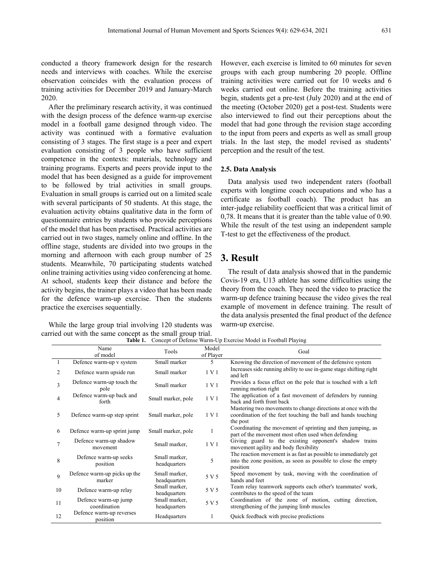conducted a theory framework design for the research needs and interviews with coaches. While the exercise observation coincides with the evaluation process of training activities for December 2019 and January-March 2020.

After the preliminary research activity, it was continued with the design process of the defence warm-up exercise model in a football game designed through video. The activity was continued with a formative evaluation consisting of 3 stages. The first stage is a peer and expert evaluation consisting of 3 people who have sufficient competence in the contexts: materials, technology and training programs. Experts and peers provide input to the model that has been designed as a guide for improvement to be followed by trial activities in small groups. Evaluation in small groups is carried out on a limited scale with several participants of 50 students. At this stage, the evaluation activity obtains qualitative data in the form of questionnaire entries by students who provide perceptions of the model that has been practised. Practical activities are carried out in two stages, namely online and offline. In the offline stage, students are divided into two groups in the morning and afternoon with each group number of 25 students. Meanwhile, 70 participating students watched online training activities using video conferencing at home. At school, students keep their distance and before the activity begins, the trainer plays a video that has been made for the defence warm-up exercise. Then the students practice the exercises sequentially.

While the large group trial involving 120 students was carried out with the same concept as the small group trial.

However, each exercise is limited to 60 minutes for seven groups with each group numbering 20 people. Offline training activities were carried out for 10 weeks and 6 weeks carried out online. Before the training activities begin, students get a pre-test (July 2020) and at the end of the meeting (October 2020) get a post-test. Students were also interviewed to find out their perceptions about the model that had gone through the revision stage according to the input from peers and experts as well as small group trials. In the last step, the model revised as students' perception and the result of the test.

#### **2.5. Data Analysis**

Data analysis used two independent raters (football experts with longtime coach occupations and who has a certificate as football coach). The product has an inter-judge reliability coefficient that was a critical limit of 0,78. It means that it is greater than the table value of 0.90. While the result of the test using an independent sample T-test to get the effectiveness of the product.

## **3. Result**

The result of data analysis showed that in the pandemic Covis-19 era, U13 athlete has some difficulties using the theory from the coach. They need the video to practice the warm-up defence training because the video gives the real example of movement in defence training. The result of the data analysis presented the final product of the defence warm-up exercise.

**Table 1.** Concept of Defense Warm-Up Exercise Model in Football Playing

|                | Name<br>of model                       | Tools                         | Model<br>of Player | Goal                                                                                                                                          |
|----------------|----------------------------------------|-------------------------------|--------------------|-----------------------------------------------------------------------------------------------------------------------------------------------|
| $\overline{1}$ | Defence warm-up v system               | Small marker                  | 5                  | Knowing the direction of movement of the defensive system                                                                                     |
| $\overline{c}$ | Defence warm upside run                | Small marker                  | 1 V 1              | Increases side running ability to use in-game stage shifting right<br>and left                                                                |
| 3              | Defence warm-up touch the<br>pole      | Small marker                  | 1 V 1              | Provides a focus effect on the pole that is touched with a left<br>running motion right                                                       |
| 4              | Defence warm-up back and<br>forth      | Small marker, pole            | 1 V 1              | The application of a fast movement of defenders by running<br>back and forth front back                                                       |
| 5              | Defence warm-up step sprint            | Small marker, pole            | 1 V 1              | Mastering two movements to change directions at once with the<br>coordination of the feet touching the ball and hands touching<br>the post    |
| 6              | Defence warm-up sprint jump            | Small marker, pole            | 1                  | Coordinating the movement of sprinting and then jumping, as<br>part of the movement most often used when defending                            |
| $\tau$         | Defence warm-up shadow<br>movement     | Small marker,                 | 1 V 1              | Giving guard to the existing opponent's shadow trains<br>movement agility and body flexibility                                                |
| 8              | Defence warm-up seeks<br>position      | Small marker,<br>headquarters | 5                  | The reaction movement is as fast as possible to immediately get<br>into the zone position, as soon as possible to close the empty<br>position |
| 9              | Defence warm-up picks up the<br>marker | Small marker,<br>headquarters | 5 V 5              | Speed movement by task, moving with the coordination of<br>hands and feet                                                                     |
| 10             | Defence warm-up relay                  | Small marker,<br>headquarters | 5 V 5              | Team relay teamwork supports each other's teammates' work,<br>contributes to the speed of the team                                            |
| 11             | Defence warm-up jump<br>coordination   | Small marker,<br>headquarters | 5 V 5              | Coordination of the zone of motion, cutting direction,<br>strengthening of the jumping limb muscles                                           |
| 12             | Defence warm-up reverses<br>position   | Headquarters                  |                    | Quick feedback with precise predictions                                                                                                       |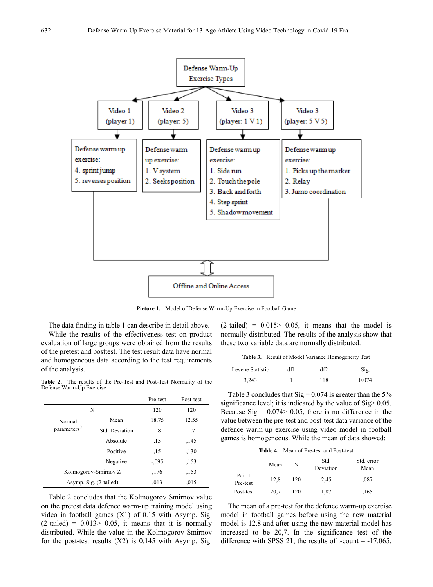

**Picture 1.** Model of Defense Warm-Up Exercise in Football Game

The data finding in table 1 can describe in detail above.

While the results of the effectiveness test on product evaluation of large groups were obtained from the results of the pretest and posttest. The test result data have normal and homogeneous data according to the test requirements of the analysis.

**Table 2.** The results of the Pre-Test and Post-Test Normality of the Defense Warm-Up Exercise

|                          |                        | Pre-test | Post-test |
|--------------------------|------------------------|----------|-----------|
|                          | N                      | 120      | 120       |
| Normal                   | Mean                   | 18.75    | 12.55     |
| parameters <sup>,b</sup> | Std. Deviation         | 1.8      | 1.7       |
|                          | Absolute               | ,15      | ,145      |
|                          | Positive               | ,15      | ,130      |
|                          | Negative               | $-.095$  | ,153      |
|                          | Kolmogorov-Smirnov Z   | .176     | ,153      |
|                          | Asymp. Sig. (2-tailed) | .013     | ,015      |

Table 2 concludes that the Kolmogorov Smirnov value on the pretest data defence warm-up training model using video in football games (X1) of 0.15 with Asymp. Sig.  $(2-tailed) = 0.013 > 0.05$ , it means that it is normally distributed. While the value in the Kolmogorov Smirnov for the post-test results  $(X2)$  is 0.145 with Asymp. Sig.

 $(2-tailed) = 0.015 > 0.05$ , it means that the model is normally distributed. The results of the analysis show that these two variable data are normally distributed.

**Table 3.** Result of Model Variance Homogeneity Test

| Levene Statistic |    | Sıg.  |
|------------------|----|-------|
| 3,243            | 18 | ) 074 |

Table 3 concludes that  $Sig = 0.074$  is greater than the 5% significance level; it is indicated by the value of Sig> 0.05. Because  $\text{Sig} = 0.074 > 0.05$ , there is no difference in the value between the pre-test and post-test data variance of the defence warm-up exercise using video model in football games is homogeneous. While the mean of data showed;

**Table 4.** Mean of Pre-test and Post-test

|                    | Mean | N   | Std.<br>Deviation | Std. error<br>Mean |
|--------------------|------|-----|-------------------|--------------------|
| Pair 1<br>Pre-test | 12,8 | 120 | 2,45              | .087               |
| Post-test          | 20.7 | 120 | 1,87              | .165               |

The mean of a pre-test for the defence warm-up exercise model in football games before using the new material model is 12.8 and after using the new material model has increased to be 20,7. In the significance test of the difference with SPSS 21, the results of t-count  $= -17.065$ ,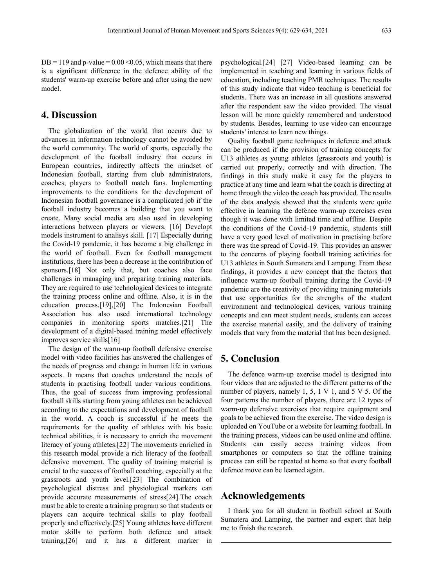$DB = 119$  and p-value =  $0.00 \le 0.05$ , which means that there is a significant difference in the defence ability of the students' warm-up exercise before and after using the new model.

## **4. Discussion**

The globalization of the world that occurs due to advances in information technology cannot be avoided by the world community. The world of sports, especially the development of the football industry that occurs in European countries, indirectly affects the mindset of Indonesian football, starting from club administrators, coaches, players to football match fans. Implementing improvements to the conditions for the development of Indonesian football governance is a complicated job if the football industry becomes a building that you want to create. Many social media are also used in developing interactions between players or viewers. [16] Developt models instrument to analisys skill. [17] Especially during the Covid-19 pandemic, it has become a big challenge in the world of football. Even for football management institutions, there has been a decrease in the contribution of sponsors.[18] Not only that, but coaches also face challenges in managing and preparing training materials. They are required to use technological devices to integrate the training process online and offline. Also, it is in the education process.[19],[20] The Indonesian Football Association has also used international technology companies in monitoring sports matches.[21] The development of a digital-based training model effectively improves service skills[16]

The design of the warm-up football defensive exercise model with video facilities has answered the challenges of the needs of progress and change in human life in various aspects. It means that coaches understand the needs of students in practising football under various conditions. Thus, the goal of success from improving professional football skills starting from young athletes can be achieved according to the expectations and development of football in the world. A coach is successful if he meets the requirements for the quality of athletes with his basic technical abilities, it is necessary to enrich the movement literacy of young athletes.[22] The movements enriched in this research model provide a rich literacy of the football defensive movement. The quality of training material is crucial to the success of football coaching, especially at the grassroots and youth level.[23] The combination of psychological distress and physiological markers can provide accurate measurements of stress[24].The coach must be able to create a training program so that students or players can acquire technical skills to play football properly and effectively.[25] Young athletes have different motor skills to perform both defence and attack training,[26] and it has a different marker in

psychological.[24] [27] Video-based learning can be implemented in teaching and learning in various fields of education, including teaching PMR techniques. The results of this study indicate that video teaching is beneficial for students. There was an increase in all questions answered after the respondent saw the video provided. The visual lesson will be more quickly remembered and understood by students. Besides, learning to use video can encourage students' interest to learn new things.

Quality football game techniques in defence and attack can be produced if the provision of training concepts for U13 athletes as young athletes (grassroots and youth) is carried out properly, correctly and with direction. The findings in this study make it easy for the players to practice at any time and learn what the coach is directing at home through the video the coach has provided. The results of the data analysis showed that the students were quite effective in learning the defence warm-up exercises even though it was done with limited time and offline. Despite the conditions of the Covid-19 pandemic, students still have a very good level of motivation in practising before there was the spread of Covid-19. This provides an answer to the concerns of playing football training activities for U13 athletes in South Sumatera and Lampung. From these findings, it provides a new concept that the factors that influence warm-up football training during the Covid-19 pandemic are the creativity of providing training materials that use opportunities for the strengths of the student environment and technological devices, various training concepts and can meet student needs, students can access the exercise material easily, and the delivery of training models that vary from the material that has been designed.

## **5. Conclusion**

The defence warm-up exercise model is designed into four videos that are adjusted to the different patterns of the number of players, namely 1, 5, 1 V 1, and 5 V 5. Of the four patterns the number of players, there are 12 types of warm-up defensive exercises that require equipment and goals to be achieved from the exercise. The video design is uploaded on YouTube or a website for learning football. In the training process, videos can be used online and offline. Students can easily access training videos from smartphones or computers so that the offline training process can still be repeated at home so that every football defence move can be learned again.

## **Acknowledgements**

I thank you for all student in football school at South Sumatera and Lamping, the partner and expert that help me to finish the research.